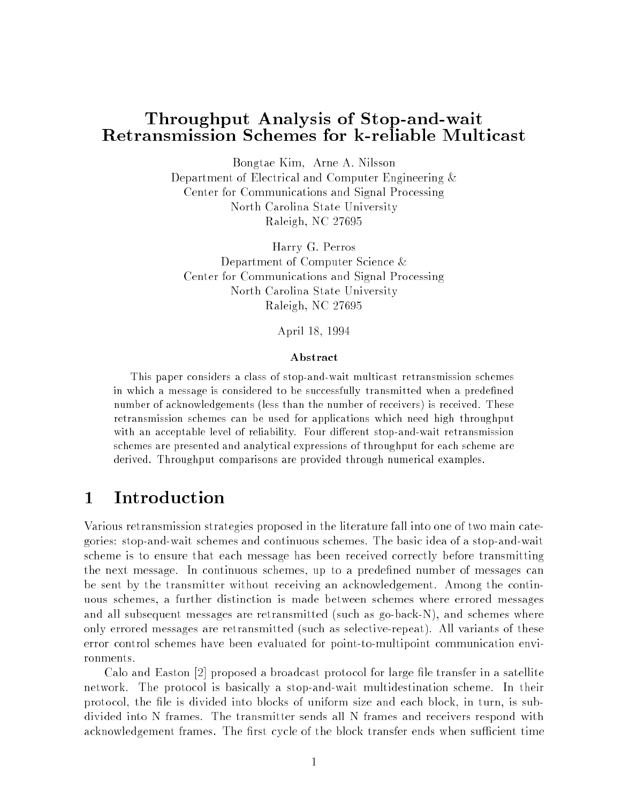## Throughput Analysis of Stop-and-wait Retransmission Schemes for k-reliable Multicast

Bongtae Kim, Arne A. Nilsson Department of Electrical and Computer Engineering & Center for Communications and Signal Processing North Carolina State University Raleigh, NC 27695

Harry G. Perros Department of Computer Science & Center for Communications and Signal Processing North Carolina State University Raleigh, NC 27695

April 18, 1994

#### Abstract

This paper considers a class of stop-and-wait multicast retransmission schemes in which a message is considered to be successfully transmitted when a predened number of activities (less than the number of receivers) is received than the receivers of the receivers of receivers. retransmission schemes can be used for applications which need high throughput with an acceptable level of reliability. Four dierent stop-and-wait retransmission schemes are presented and analytical expressions of throughput for each scheme are derived. Throughput comparisons are provided through numerical examples.

#### **Introduction**  $\mathbf{1}$

Various retransmission strategies proposed in the literature fall into one of two main categories: stop-and-wait schemes and continuous schemes. The basic idea of a stop-and-wait scheme is to ensure that each message has been received correctly before transmitting the next message. In continuous schemes, up to a predefined number of messages can be sent by the transmitter without receiving an acknowledgement. Among the continuous schemes, a further distinction is made between schemes where errored messages and all subsequent messages are retransmitted (such as go-back-N), and schemes where only errored messages are retransmitted (such as selective-repeat). All variants of these error control schemes have been evaluated for point-to-multipoint communication environments.

Calo and Easton [2] proposed a broadcast protocol for large le transfer in a satellite network. The protocol is basically a stop-and-wait multidestination scheme. In their protocol, the file is divided into blocks of uniform size and each block, in turn, is subdivided into N frames. The transmitter sends all N frames and receivers respond with acknowledgement frames. The first cycle of the block transfer ends when sufficient time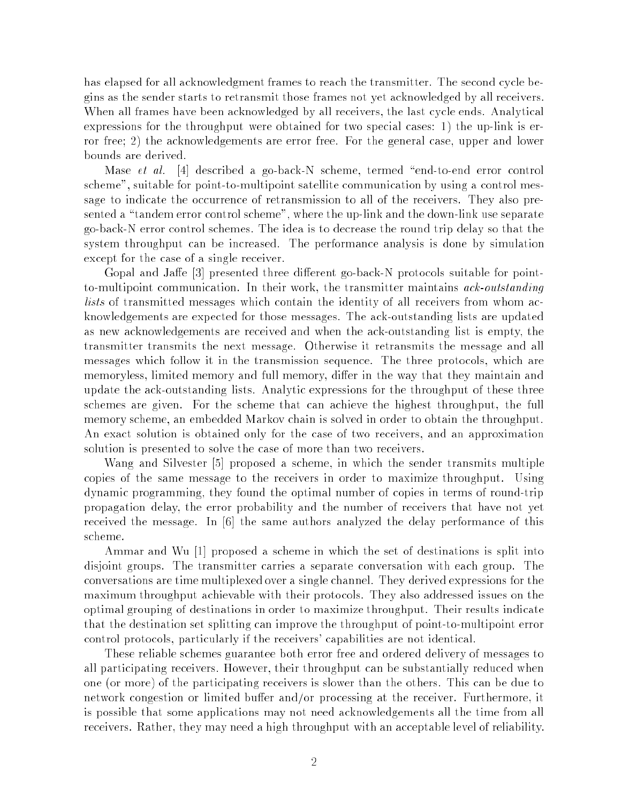has elapsed for all acknowledgment frames to reach the transmitter. The second cycle begins as the sender starts to retransmit those frames not yet acknowledged by all receivers. When all frames have been acknowledged by all receivers, the last cycle ends. Analytical expressions for the throughput were obtained for two special cases: 1) the up-link is error free; 2) the acknowledgements are error free. For the general case, upper and lower bounds are derived.

Mase *et al.* [4] described a go-back-N scheme, termed "end-to-end error control" scheme", suitable for point-to-multipoint satellite communication by using a control message to indicate the occurrence of retransmission to all of the receivers. They also presented a "tandem error control scheme", where the up-link and the down-link use separate go-back-N error control schemes. The idea is to decrease the round trip delay so that the system throughput can be increased. The performance analysis is done by simulation except for the case of a single receiver.

Gopal and Jaffe [3] presented three different go-back-N protocols suitable for pointto-multipoint communication. In their work, the transmitter maintains ack-outstanding lists of transmitted messages which contain the identity of all receivers from whom acknowledgements are expected for those messages. The ack-outstanding lists are updated as new acknowledgements are received and when the ack-outstanding list is empty, the transmitter transmits the next message. Otherwise it retransmits the message and all messages which follow it in the transmission sequence. The three protocols, which are memoryless, limited memory and full memory, differ in the way that they maintain and update the ack-outstanding lists. Analytic expressions for the throughput of these three schemes are given. For the scheme that can achieve the highest throughput, the full memory scheme, an embedded Markov chain is solved in order to obtain the throughput. An exact solution is obtained only for the case of two receivers, and an approximation solution is presented to solve the case of more than two receivers.

Wang and Silvester [5] proposed a scheme, in which the sender transmits multiple copies of the same message to the receivers in order to maximize throughput. Using dynamic programming, they found the optimal number of copies in terms of round-trip propagation delay, the error probability and the number of receivers that have not yet received the message. In [6] the same authors analyzed the delay performance of this scheme.

Ammar and Wu [1] proposed a scheme in which the set of destinations is split into disjoint groups. The transmitter carries a separate conversation with each group. The conversations are time multiplexed over a single channel. They derived expressions for the maximum throughput achievable with their protocols. They also addressed issues on the optimal grouping of destinations in order to maximize throughput. Their results indicate that the destination set splitting can improve the throughput of point-to-multipoint error control protocols, particularly if the receivers' capabilities are not identical.

These reliable schemes guarantee both error free and ordered delivery of messages to all participating receivers. However, their throughput can be substantially reduced when one (or more) of the participating receivers is slower than the others. This can be due to network congestion or limited buffer and/or processing at the receiver. Furthermore, it is possible that some applications may not need acknowledgements all the time from all receivers. Rather, they may need a high throughput with an acceptable level of reliability.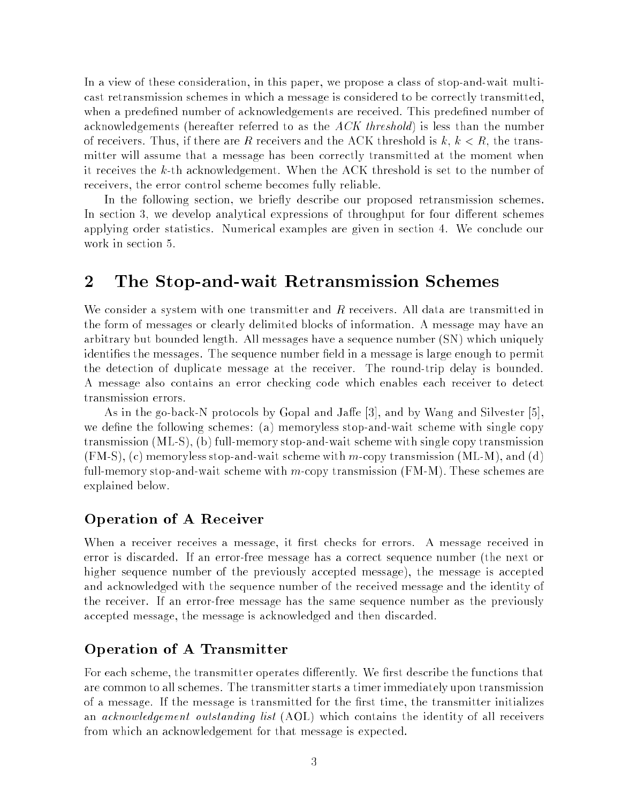In a view of these consideration, in this paper, we propose a class of stop-and-wait multicast retransmission schemes in which a message is considered to be correctly transmitted, when a predefined number of acknowledgements are received. This predefined number of acknowledgements (hereafter referred to as the ACK threshold) is less than the number of receivers. Thus, if there are R receivers and the ACK threshold is  $k, k \leq R$ , the transmitter will assume that a message has been correctly transmitted at the moment when it receives the k-th acknowledgement. When the ACK threshold is set to the number of receivers, the error control scheme becomes fully reliable.

In the following section, we briefly describe our proposed retransmission schemes. In section 3, we develop analytical expressions of throughput for four different schemes applying order statistics. Numerical examples are given in section 4. We conclude our work in section 5.

#### $\overline{2}$ 2 The Stop-and-wait Retransmission Schemes

We consider a system with one transmitter and  $R$  receivers. All data are transmitted in the form of messages or clearly delimited blocks of information. A message may have an arbitrary but bounded length. All messages have a sequence number (SN) which uniquely identifies the messages. The sequence number field in a message is large enough to permit the detection of duplicate message at the receiver. The round-trip delay is bounded. A message also contains an error checking code which enables each receiver to detect transmission errors.

As in the go-back-N protocols by Gopal and Jaffe  $[3]$ , and by Wang and Silvester  $[5]$ , we define the following schemes: (a) memoryless stop-and-wait scheme with single copy transmission (ML-S), (b) full-memory stop-and-wait scheme with single copy transmission  $(FM-S)$ , (c) memoryless stop-and-wait scheme with m-copy transmission  $(ML-M)$ , and (d) full-memory stop-and-wait scheme with m-copy transmission  $(FM-M)$ . These schemes are explained below.

### Operation of A Receiver

When a receiver receives a message, it first checks for errors. A message received in error is discarded. If an error-free message has a correct sequence number (the next or higher sequence number of the previously accepted message), the message is accepted and acknowledged with the sequence number of the received message and the identity of the receiver. If an error-free message has the same sequence number as the previously accepted message, the message is acknowledged and then discarded.

### Operation of A Transmitter

For each scheme, the transmitter operates differently. We first describe the functions that are common to all schemes. The transmitter starts a timer immediately upon transmission of a message. If the message is transmitted for the first time, the transmitter initializes an *acknowledgement outstanding list* (AOL) which contains the identity of all receivers from which an acknowledgement for that message is expected.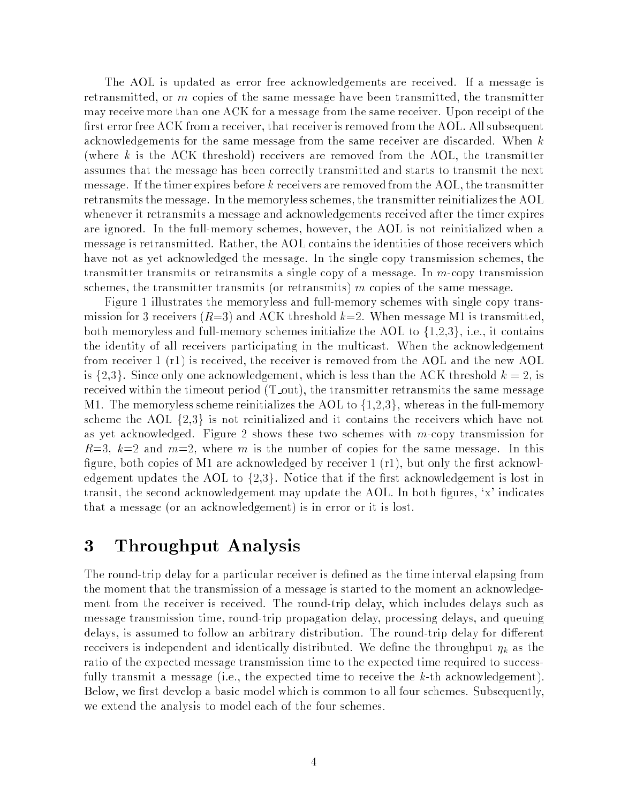The AOL is updated as error free acknowledgements are received. If a message is retransmitted, or <sup>m</sup> copies of the same message have been transmitted, the transmitter may receive more than one ACK for a message from the same receiver. Upon receipt of the first error free ACK from a receiver, that receiver is removed from the AOL. All subsequent acknowledgements for the same message from the same receiver are discarded. When <sup>k</sup> (where  $k$  is the ACK threshold) receivers are removed from the AOL, the transmitter assumes that the message has been correctly transmitted and starts to transmit the next message. If the timer expires before k receivers are removed from the  $AOL$ , the transmitter retransmits the message. In the memoryless schemes, the transmitter reinitializes the AOL whenever it retransmits a message and acknowledgements received after the timer expires are ignored. In the full-memory schemes, however, the AOL is not reinitialized when a message is retransmitted. Rather, the AOL contains the identities of those receivers which have not as yet acknowledged the message. In the single copy transmission schemes, the transmitter transmits or retransmits a single copy of a message. In  $m$ -copy transmission schemes, the transmitter transmits (or retransmits)  $m$  copies of the same message.

Figure 1 illustrates the memoryless and full-memory schemes with single copy transmission for 3 receivers  $(R=3)$  and ACK threshold  $k=2$ . When message M1 is transmitted, both memoryless and full-memory schemes initialize the AOL to  $\{1,2,3\}$ , i.e., it contains the identity of all receivers participating in the multicast. When the acknowledgement from receiver 1 (r1) is received, the receiver is removed from the AOL and the new AOL is  $\{2,3\}$ . Since only one acknowledgement, which is less than the ACK threshold  $k = 2$ , is received within the timeout period  $(T_{\text{out}})$ , the transmitter retransmits the same message M1. The memoryless scheme reinitializes the AOL to  $\{1,2,3\}$ , whereas in the full-memory scheme the AOL  $\{2,3\}$  is not reinitialized and it contains the receivers which have not as yet acknowledged. Figure 2 shows these two schemes with  $m$ -copy transmission for  $R=3, k=2$  and  $m=2$ , where m is the number of copies for the same message. In this figure, both copies of M1 are acknowledged by receiver  $1$  ( $r1$ ), but only the first acknowledgement updates the AOL to  $\{2,3\}$ . Notice that if the first acknowledgement is lost in transit, the second acknowledgement may update the AOL. In both gures, `x' indicates that a message (or an acknowledgement) is in error or it is lost.

## 3 Throughput Analysis

The round-trip delay for a particular receiver is defined as the time interval elapsing from the moment that the transmission of a message is started to the moment an acknowledgement from the receiver is received. The round-trip delay, which includes delays such as message transmission time, round-trip propagation delay, processing delays, and queuing delays, is assumed to follow an arbitrary distribution. The round-trip delay for different receivers is independent and identically distributed. We define the throughput  $\eta_k$  as the ratio of the expected message transmission time to the expected time required to successfully transmit a message (i.e., the expected time to receive the  $k$ -th acknowledgement). Below, we first develop a basic model which is common to all four schemes. Subsequently, we extend the analysis to model each of the four schemes.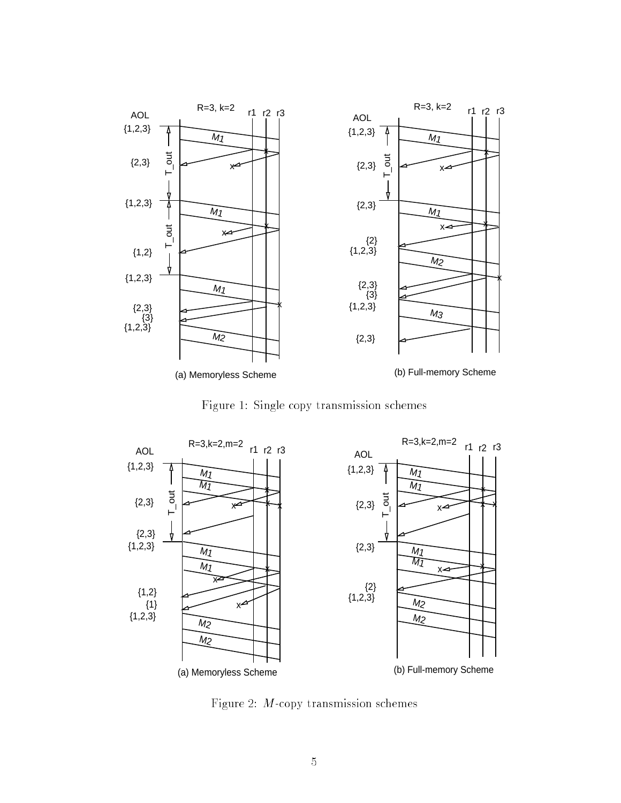

Figure 1: Single copy transmission schemes



Figure 2: M-copy transmission schemes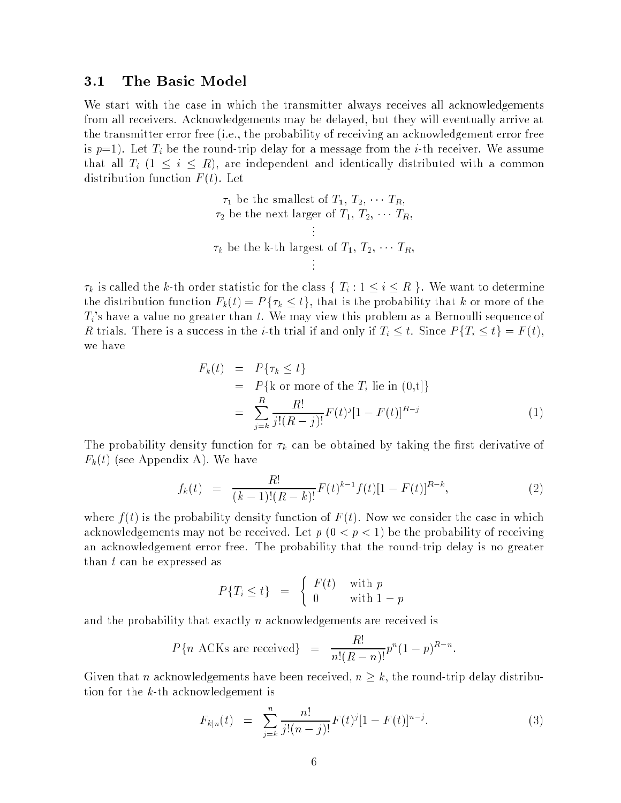#### 3.1 The Basic Model

We start with the case in which the transmitter always receives all acknowledgements from all receivers. Acknowledgements may be delayed, but they will eventually arrive at the transmitter error free (i.e., the probability of receiving an acknowledgement error free is  $p=1$ ). Let  $T_i$  be the round-trip delay for a message from the *i*-th receiver. We assume that all  $T_i$   $(1 \le i \le R)$ , are independent and identically distributed with a common distribution function  $F(t)$ . Let

$$
\tau_1
$$
 be the smallest of  $T_1, T_2, \cdots T_R$ ,  
\n $\tau_2$  be the next larger of  $T_1, T_2, \cdots T_R$ ,  
\n $\vdots$   
\n $\tau_k$  be the k-th largest of  $T_1, T_2, \cdots T_R$ ,  
\n $\vdots$ 

 $\tau_k$  is called the k-th order statistic for the class  $\{T_i : 1 \le i \le R\}$ . We want to determine the distribution function  $F_k(t) = P\{\tau_k \leq t\}$ , that is the probability that k or more of the  $T_i$ 's have a value no greater than t. We may view this problem as a Bernoulli sequence of Requestive is a success in the interest in the interest in the i-th  $\gamma$  in the  $\gamma$  th  $\gamma$  is  $\gamma$  (t),  $\gamma$ we have

$$
F_k(t) = P\{\tau_k \le t\}
$$
  
=  $P\{\text{k or more of the } T_i \text{ lie in } (0,t]\}$   
=  $\sum_{j=k}^{R} \frac{R!}{j!(R-j)!} F(t)^j [1 - F(t)]^{R-j}$  (1)

The probability density function for  $\tau_k$  can be obtained by taking the first derivative of  $F_k(t)$  (see Appendix A). We have

$$
f_k(t) = \frac{R!}{(k-1)!(R-k)!}F(t)^{k-1}f(t)[1 - F(t)]^{R-k}, \qquad (2)
$$

where  $f(t)$  is the probability density function of  $F(t)$ . Now we consider the case in which acknowledgements may not be received. Let  $p(0 < p < 1)$  be the probability of receiving an acknowledgement error free. The probability that the round-trip delay is no greater than <sup>t</sup> can be expressed as

$$
P\{T_i \le t\} = \begin{cases} F(t) & \text{with } p \\ 0 & \text{with } 1 - p \end{cases}
$$

and the probability that exactly <sup>n</sup> acknowledgements are received is

$$
P\{n \text{ ACKs are received}\} = \frac{R!}{n!(R-n)!}p^n(1-p)^{R-n}
$$

Given that *n* acknowledgements have been received,  $n \geq k$ , the round-trip delay distribution for the k-th acknowledgement is

$$
F_{k|n}(t) = \sum_{j=k}^{n} \frac{n!}{j!(n-j)!} F(t)^{j} [1 - F(t)]^{n-j}.
$$
 (3)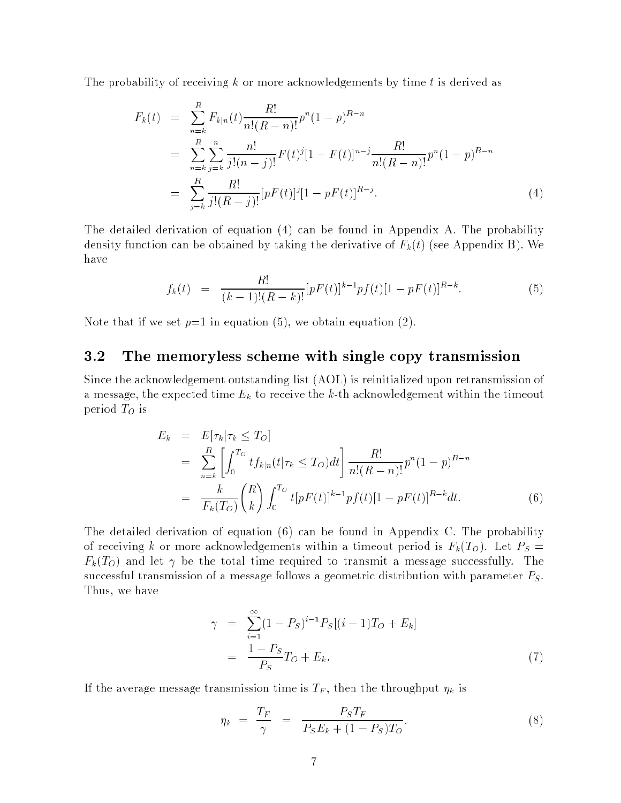The probability of receiving  $k$  or more acknowledgements by time  $t$  is derived as

$$
F_k(t) = \sum_{n=k}^{R} F_{k|n}(t) \frac{R!}{n!(R-n)!} p^n (1-p)^{R-n}
$$
  
\n
$$
= \sum_{n=k}^{R} \sum_{j=k}^{n} \frac{n!}{j!(n-j)!} F(t)^j [1 - F(t)]^{n-j} \frac{R!}{n!(R-n)!} p^n (1-p)^{R-n}
$$
  
\n
$$
= \sum_{j=k}^{R} \frac{R!}{j!(R-j)!} [pF(t)]^j [1 - pF(t)]^{R-j}.
$$
 (4)

The detailed derivation of equation (4) can be found in Appendix A. The probability density function can be obtained by taking the derivative of  $F_k(t)$  (see Appendix B). We have

$$
f_k(t) = \frac{R!}{(k-1)!(R-k)!} [pF(t)]^{k-1} p f(t) [1 - pF(t)]^{R-k}.
$$
 (5)

Note that if we set  $p=1$  in equation (5), we obtain equation (2).

### 3.2 The memoryless scheme with single copy transmission

Since the acknowledgement outstanding list (AOL) is reinitialized upon retransmission of a message, the expected time  $E_k$  to receive the k-th acknowledgement within the timeout period  $T<sub>O</sub>$  is

$$
E_k = E[\tau_k | \tau_k \le T_O]
$$
  
= 
$$
\sum_{n=k}^{R} \left[ \int_0^{T_O} t f_{k|n}(t | \tau_k \le T_O) dt \right] \frac{R!}{n!(R-n)!} p^n (1-p)^{R-n}
$$
  
= 
$$
\frac{k}{F_k(T_O)} {R \choose k} \int_0^{T_O} t [pF(t)]^{k-1} p f(t) [1 - pF(t)]^{R-k} dt.
$$
 (6)

The detailed derivation of equation (6) can be found in Appendix C. The probability of receiving k or more acknowledgements within a timeout period is  $F_k(T_O)$ . Let  $P_S =$  $F_k(T_0)$  and let  $\gamma$  be the total time required to transmit a message successfully. The successful transmission of a message follows a geometric distribution with parameter  $P<sub>S</sub>$ . Thus, we have

$$
\gamma = \sum_{i=1}^{\infty} (1 - P_S)^{i-1} P_S[(i-1)T_O + E_k]
$$
  
= 
$$
\frac{1 - P_S}{P_S} T_O + E_k.
$$
 (7)

If the average message transmission time is  $T_F$ , then the throughput  $\eta_k$  is

$$
\eta_k = \frac{T_F}{\gamma} = \frac{P_S T_F}{P_S E_k + (1 - P_S) T_O}.
$$
\n(8)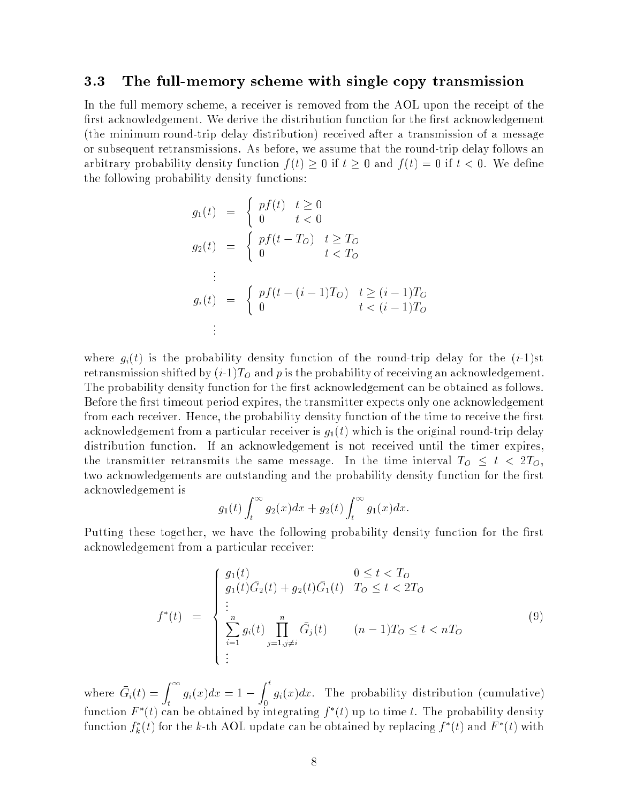#### 3.3 The full-memory scheme with single copy transmission

In the full memory scheme, a receiver is removed from the AOL upon the receipt of the first acknowledgement. We derive the distribution function for the first acknowledgement (the minimum round-trip delay distribution) received after a transmission of a message or subsequent retransmissions. As before, we assume that the round-trip delay follows an arbitrary probability density function  $f(t) \geq 0$  if  $t \geq 0$  and  $f(t) = 0$  if  $t < 0$ . We define the following probability density functions:

$$
g_1(t) = \begin{cases} pf(t) & t \ge 0 \\ 0 & t < 0 \end{cases}
$$
  
\n
$$
g_2(t) = \begin{cases} pf(t - T_0) & t \ge T_0 \\ 0 & t < T_0 \end{cases}
$$
  
\n
$$
\vdots
$$
  
\n
$$
g_i(t) = \begin{cases} pf(t - (i - 1)T_0) & t \ge (i - 1)T_0 \\ 0 & t < (i - 1)T_0 \end{cases}
$$
  
\n
$$
\vdots
$$

where  $g_i(t)$  is the probability density function of the round-trip delay for the  $(i-1)$ st retransmission shifted by  $(i-1)T<sub>O</sub>$  and p is the probability of receiving an acknowledgement. The probability density function for the first acknowledgement can be obtained as follows. Before the first timeout period expires, the transmitter expects only one acknowledgement from each receiver. Hence, the probability density function of the time to receive the first acknowledgement from a particular receiver is  $g_1(t)$  which is the original round-trip delay distribution function. If an acknowledgement is not received until the timer expires, the transmitter retransmits the same message. In the time interval  $T_0 \leq t < 2T_0$ , two acknowledgements are outstanding and the probability density function for the first acknowledgement is

$$
g_1(t)\int_t^{\infty}g_2(x)dx+g_2(t)\int_t^{\infty}g_1(x)dx.
$$

Putting these together, we have the following probability density function for the first acknowledgement from a particular receiver:

$$
f^*(t) = \begin{cases} g_1(t) & 0 \le t < T_O \\ g_1(t)\bar{G}_2(t) + g_2(t)\bar{G}_1(t) & T_O \le t < 2T_O \\ \vdots & \\ \sum_{i=1}^n g_i(t) \prod_{j=1, j \ne i}^n \bar{G}_j(t) & (n-1)T_O \le t < nT_O \\ \vdots & \end{cases}
$$
(9)

where  $\bar{G}_i(t) = \int_{-\infty}^{\infty} g_i(x) dx = 1$ function  $F^*(t)$  can be obtained by integrating  $f^*(t)$  up to time t. The probability density  $rt$  $g$  (x) and probability distribution of  $\alpha$  and  $\alpha$   $\beta$  and  $\beta$  and  $\alpha$   $\beta$  and  $\alpha$   $\beta$  and  $\beta$  and  $\beta$ function  $J_k(t)$  for the k-th AOL update can be obtained by replacing  $J_t(t)$  and  $F_t(t)$  with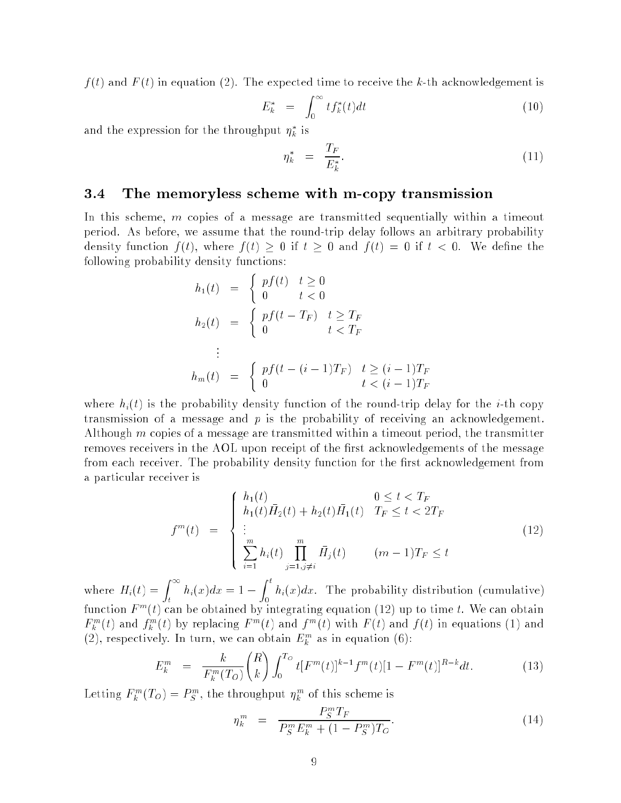f (t) and <sup>F</sup> (t) in equation (2). The expected time to receive the k-th acknowledgement is

$$
E_k^* = \int_0^\infty t f_k^*(t) dt \tag{10}
$$

and the expression for the throughput  $\eta_k$  is

$$
\eta_k^* = \frac{T_F}{E_k^*}.\tag{11}
$$

#### 3.4 The memoryless scheme with m-copy transmission

In this scheme, m copies of a message are transmitted sequentially within a timeout period. As before, we assume that the round-trip delay follows an arbitrary probability density function  $f(t)$ , where  $f(t) \geq 0$  if  $t \geq 0$  and  $f(t) = 0$  if  $t < 0$ . We define the following probability density functions:

$$
h_1(t) = \begin{cases} pf(t) & t \ge 0 \\ 0 & t < 0 \end{cases}
$$
  
\n
$$
h_2(t) = \begin{cases} pf(t - T_F) & t \ge T_F \\ 0 & t < T_F \end{cases}
$$
  
\n
$$
\vdots
$$
  
\n
$$
h_m(t) = \begin{cases} pf(t - (i - 1)T_F) & t \ge (i - 1)T_F \\ 0 & t < (i - 1)T_F \end{cases}
$$

where  $h_i(t)$  is the probability density function of the round-trip delay for the *i*-th copy transmission of a message and  $p$  is the probability of receiving an acknowledgement. Although <sup>m</sup> copies of a message are transmitted within a timeout period, the transmitter removes receivers in the AOL upon receipt of the first acknowledgements of the message from each receiver. The probability density function for the first acknowledgement from a particular receiver is

$$
f^{m}(t) = \begin{cases} h_{1}(t) & 0 \leq t < T_{F} \\ h_{1}(t)\bar{H}_{2}(t) + h_{2}(t)\bar{H}_{1}(t) & T_{F} \leq t < 2T_{F} \\ \vdots & \\ \sum_{i=1}^{m} h_{i}(t) \prod_{j=1, j \neq i}^{m} \bar{H}_{j}(t) & (m-1)T_{F} \leq t \end{cases}
$$
(12)

where  $\bar{H}_i(t) = \int_0^\infty h_i(x) dx = 1$ function  $F<sup>m</sup>(t)$  can be obtained by integrating equation (12) up to time t. We can obtain r  $h_{\ell}$  (which is the probability distribution (cumulative)  $F_k^{\perp}(t)$  and  $f_k^{\perp}(t)$  by replacing  $F^{\perp}(t)$  and  $f^{\perp}(t)$  with  $F(t)$  and  $f(t)$  in equations (1) and (2), respectively. In turn, we can obtain  $E_k^+$  as in equation (6):

$$
E_k^m = \frac{k}{F_k^m(T_O)} {R \choose k} \int_0^{T_O} t[F^m(t)]^{k-1} f^m(t) [1 - F^m(t)]^{R-k} dt.
$$
 (13)

Letting  $F_k^{\perp}(I_O) = F_S^{\perp}$ , the throughput  $\eta_k^{\perp}$  of this scheme is

$$
\eta_k^m = \frac{P_S^m T_F}{P_S^m E_k^m + (1 - P_S^m) T_O}.
$$
\n(14)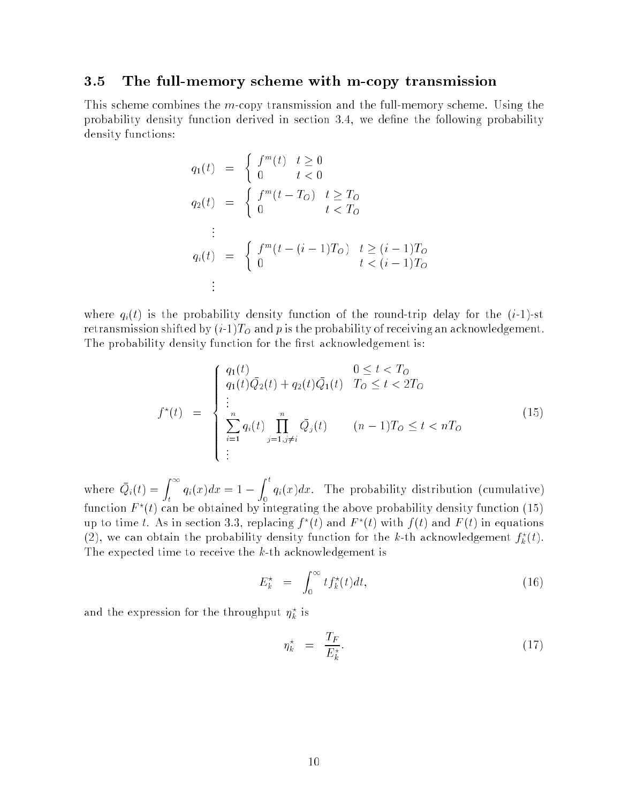### 3.5 The full-memory scheme with m-copy transmission

This scheme combines the m-copy transmission and the full-memory scheme. Using the probability density function derived in section 3.4, we define the following probability density functions:

$$
q_1(t) = \begin{cases} f^m(t) & t \ge 0 \\ 0 & t < 0 \end{cases}
$$
  
\n
$$
q_2(t) = \begin{cases} f^m(t - T_O) & t \ge T_O \\ 0 & t < T_O \end{cases}
$$
  
\n:  
\n
$$
q_i(t) = \begin{cases} f^m(t - (i - 1)T_O) & t \ge (i - 1)T_O \\ 0 & t < (i - 1)T_O \end{cases}
$$
  
\n:  
\n:

where  $q_i(t)$  is the probability density function of the round-trip delay for the  $(i-1)$ -st retransmission shifted by  $(i-1)T<sub>O</sub>$  and p is the probability of receiving an acknowledgement. The probability density function for the first acknowledgement is:

$$
f^*(t) = \begin{cases} q_1(t) & 0 \le t < T_O \\ q_1(t)\bar{Q}_2(t) + q_2(t)\bar{Q}_1(t) & T_O \le t < 2T_O \\ \vdots & \\ \sum_{i=1}^n q_i(t) \prod_{j=1, j \ne i}^n \bar{Q}_j(t) & (n-1)T_O \le t < nT_O \\ \vdots & \end{cases}
$$
(15)

where  $\overline{Q}_i(t) = \int_0^\infty q_i(x) dx = 1$ function  $F^*(t)$  can be obtained by integrating the above probability density function (15)  $f^t$  $q_i(x)$  distribution  $\mathbb{R}^n$  distribution (cumulative) up to time t. As in section 5.3, replacing  $f^*(t)$  and  $f^*(t)$  with  $f(t)$  and  $F(t)$  in equations (2), we can obtain the probability density function for the  $\kappa$ -th acknowledgement  $J_{\vec{k}}(t).$ The expected time to receive the k-th acknowledgement is

$$
E_k^* = \int_0^\infty t f_k^*(t) dt, \tag{16}
$$

and the expression for the throughput  $\eta_k$  is

$$
\eta_k^* = \frac{T_F}{E_k^*}.\tag{17}
$$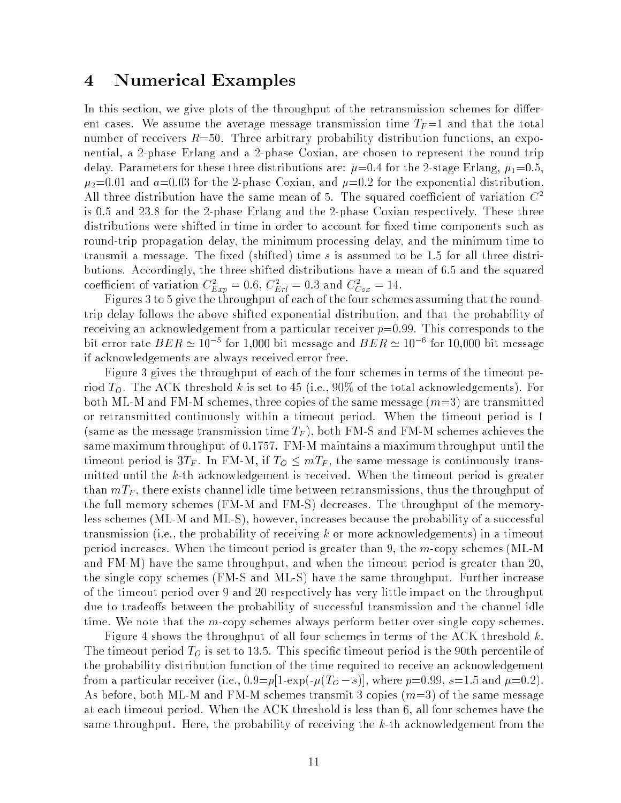## 4 Numerical Examples

In this section, we give plots of the throughput of the retransmission schemes for different cases. We assume the average message transmission time  $T_F=1$  and that the total number of receivers  $R=50$ . Three arbitrary probability distribution functions, an exponential, a 2-phase Erlang and a 2-phase Coxian, are chosen to represent the round trip delay. Parameters for these three distributions are:  $\mu=0.4$  for the 2-stage Erlang,  $\mu_1=0.5$ ,  $\mu_2=0.01$  and  $a=0.03$  for the 2-phase Coxian, and  $\mu=0.2$  for the exponential distribution. All three distribution have the same mean of 5. The squared coefficient of variation  $C^2$ is 0.5 and 23.8 for the 2-phase Erlang and the 2-phase Coxian respectively. These three distributions were shifted in time in order to account for fixed time components such as round-trip propagation delay, the minimum processing delay, and the minimum time to transmit a message. The fixed (shifted) time  $s$  is assumed to be 1.5 for all three distributions. Accordingly, the three shifted distributions have a mean of 6.5 and the squared coefficient of variation  $\cup_{Ex_n} = 0.6, \cup_{Ex_l} = 0.3$  and  $\cup_{Cox} = 14.$ 

Figures 3 to 5 give the throughput of each of the four schemes assuming that the roundtrip delay follows the above shifted exponential distribution, and that the probability of receiving an acknowledgement from a particular receiver  $p=0.99$ . This corresponds to the bit error rate  $BER \simeq 10^{-8}$  for 1,000 bit message and  $BER \simeq 10^{-8}$  for 10,000 bit message if acknowledgements are always received error free.

Figure 3 gives the throughput of each of the four schemes in terms of the timeout period  $T<sub>O</sub>$ . The ACK threshold k is set to 45 (i.e., 90% of the total acknowledgements). For both ML-M and FM-M schemes, three copies of the same message  $(m=3)$  are transmitted or retransmitted continuously within a timeout period. When the timeout period is 1 (same as the message transmission time  $T_F$ ), both FM-S and FM-M schemes achieves the same maximum throughput of 0.1757. FM-M maintains a maximum throughput until the timeout period is  $3T_F$ . In FM-M, if  $T_O \leq mT_F$ , the same message is continuously transmitted until the k-th acknowledgement is received. When the timeout period is greater than  $mT_F$ , there exists channel idle time between retransmissions, thus the throughput of the full memory schemes (FM-M and FM-S) decreases. The throughput of the memoryless schemes (ML-M and ML-S), however, increases because the probability of a successful transmission (i.e., the probability of receiving k or more acknowledgements) in a timeout period increases. When the timeout period is greater than 9, the m-copy schemes (ML-M and FM-M) have the same throughput, and when the timeout period is greater than 20, the single copy schemes (FM-S and ML-S) have the same throughput. Further increase of the timeout period over 9 and 20 respectively has very little impact on the throughput due to tradeoffs between the probability of successful transmission and the channel idle time. We note that the  $m$ -copy schemes always perform better over single copy schemes.

Figure 4 shows the throughput of all four schemes in terms of the ACK threshold  $k$ . The timeout period  $T<sub>O</sub>$  is set to 13.5. This specific timeout period is the 90th percentile of the probability distribution function of the time required to receive an acknowledgement from a particular receiver (i.e.,  $0.9=p[1-\exp(-\mu(T_O-s)],$  where  $p=0.99, s=1.5$  and  $\mu=0.2$ ). As before, both ML-M and FM-M schemes transmit 3 copies  $(m=3)$  of the same message at each timeout period. When the ACK threshold is less than 6, all four schemes have the same throughput. Here, the probability of receiving the  $k$ -th acknowledgement from the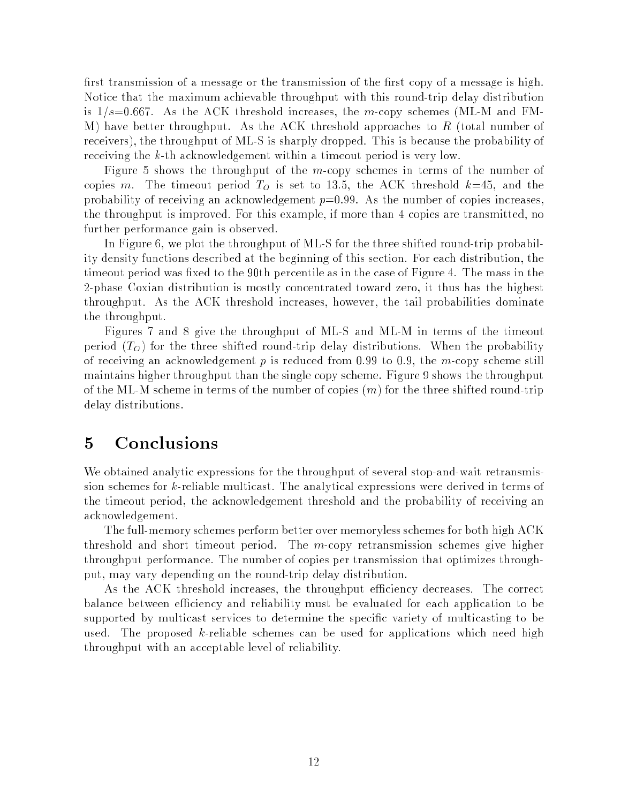first transmission of a message or the transmission of the first copy of a message is high. Notice that the maximum achievable throughput with this round-trip delay distribution is  $1/s=0.667$ . As the ACK threshold increases, the m-copy schemes (ML-M and FM-M) have better throughput. As the ACK threshold approaches to <sup>R</sup> (total number of receivers), the throughput of ML-S is sharply dropped. This is because the probability of receiving the k-th acknowledgement within a timeout period is very low.

Figure 5 shows the throughput of the m-copy schemes in terms of the number of copies m. The timeout period  $T<sub>O</sub>$  is set to 13.5, the ACK threshold k=45, and the probability of receiving an acknowledgement  $p=0.99$ . As the number of copies increases, the throughput is improved. For this example, if more than 4 copies are transmitted, no further performance gain is observed.

In Figure 6, we plot the throughput of ML-S for the three shifted round-trip probability density functions described at the beginning of this section. For each distribution, the timeout period was fixed to the 90th percentile as in the case of Figure 4. The mass in the 2-phase Coxian distribution is mostly concentrated toward zero, it thus has the highest throughput. As the ACK threshold increases, however, the tail probabilities dominate the throughput.

Figures 7 and 8 give the throughput of ML-S and ML-M in terms of the timeout period  $(T<sub>O</sub>)$  for the three shifted round-trip delay distributions. When the probability of receiving an acknowledgement p is reduced from 0.99 to 0.9, the m-copy scheme still maintains higher throughput than the single copy scheme. Figure 9 shows the throughput of the ML-M scheme in terms of the number of copies  $(m)$  for the three shifted round-trip delay distributions.

#### $\overline{5}$ **Conclusions**

We obtained analytic expressions for the throughput of several stop-and-wait retransmission schemes for k-reliable multicast. The analytical expressions were derived in terms of the timeout period, the acknowledgement threshold and the probability of receiving an acknowledgement.

The full-memory schemes perform better over memoryless schemes for both high ACK threshold and short timeout period. The  $m$ -copy retransmission schemes give higher throughput performance. The number of copies per transmission that optimizes throughput, may vary depending on the round-trip delay distribution.

As the ACK threshold increases, the throughput efficiency decreases. The correct balance between efficiency and reliability must be evaluated for each application to be supported by multicast services to determine the specific variety of multicasting to be used. The proposed  $k$ -reliable schemes can be used for applications which need high throughput with an acceptable level of reliability.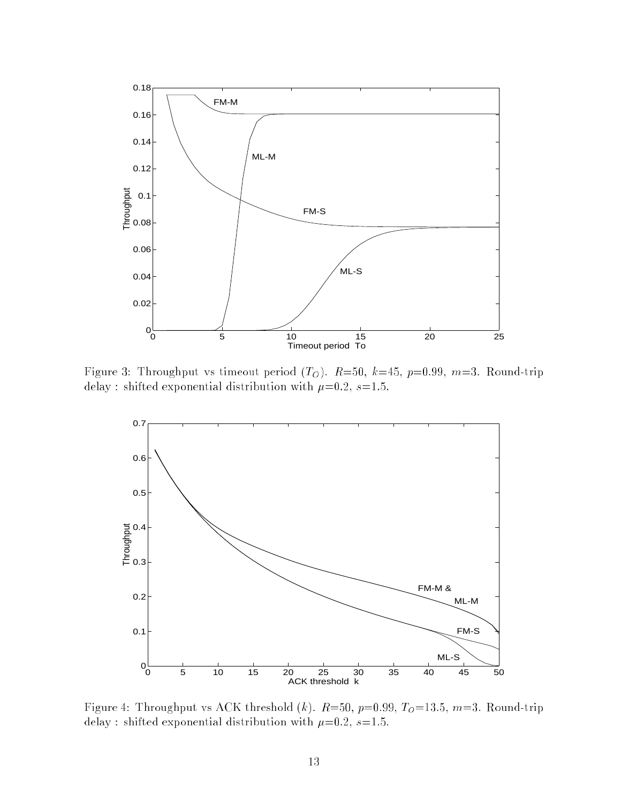

Figure 3: Throughput vs timeout period  $(T<sub>O</sub>)$ .  $R=50$ ,  $k=45$ ,  $p=0.99$ ,  $m=3$ . Round-trip delay : shifted exponential distribution with  $\mu=0.2$ ,  $s=1.5$ .



Figure 4: Throughput vs ACK threshold  $(k)$ .  $R=50$ ,  $p=0.99$ ,  $T_0=13.5$ ,  $m=3$ . Round-trip delay : shifted exponential distribution with  $\mu=0.2$ , s=1.5.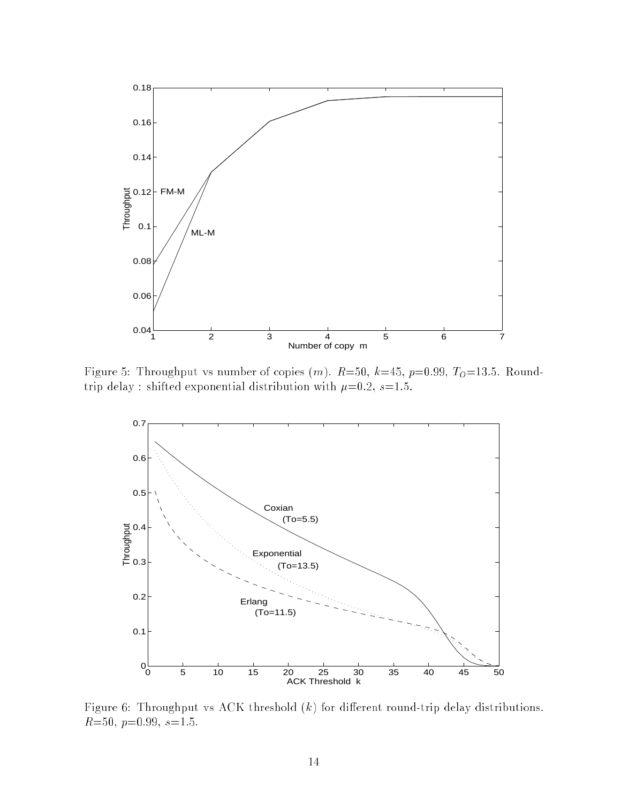

Figure 5: Throughput vs number of copies  $(m)$ .  $R=50$ ,  $k=45$ ,  $p=0.99$ ,  $T_0=13.5$ . Roundtrip delay : shifted exponential distribution with  $\mu=0.2$ , s=1.5.



Figure 6: Throughput vs ACK threshold  $(k)$  for different round-trip delay distributions.  $R=50, p=0.99, s=1.5.$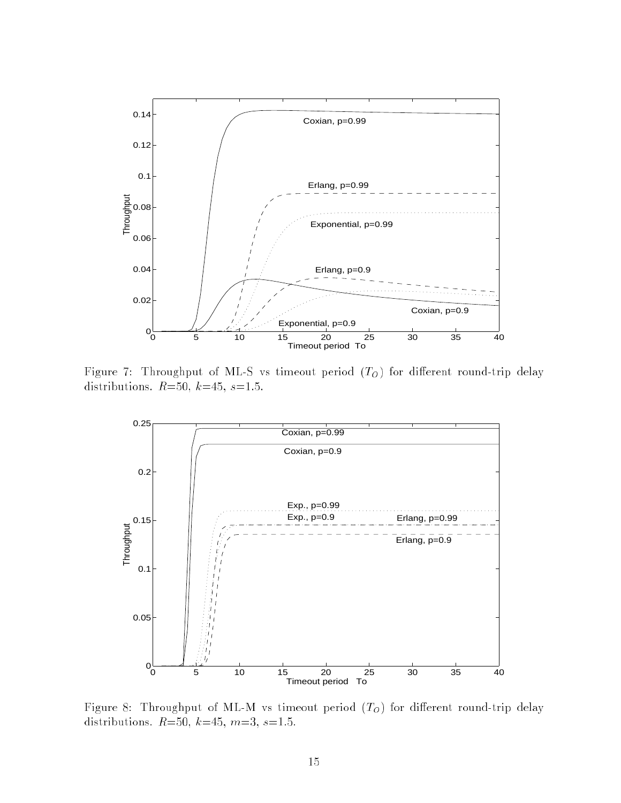

Figure 7: Throughput of ML-S vs timeout period  $(T<sub>O</sub>)$  for different round-trip delay distributions.  $R=50, k=45, s=1.5$ .



Figure 8: Throughput of ML-M vs timeout period  $(T<sub>O</sub>)$  for different round-trip delay distributions.  $R=50, k=45, m=3, s=1.5$ .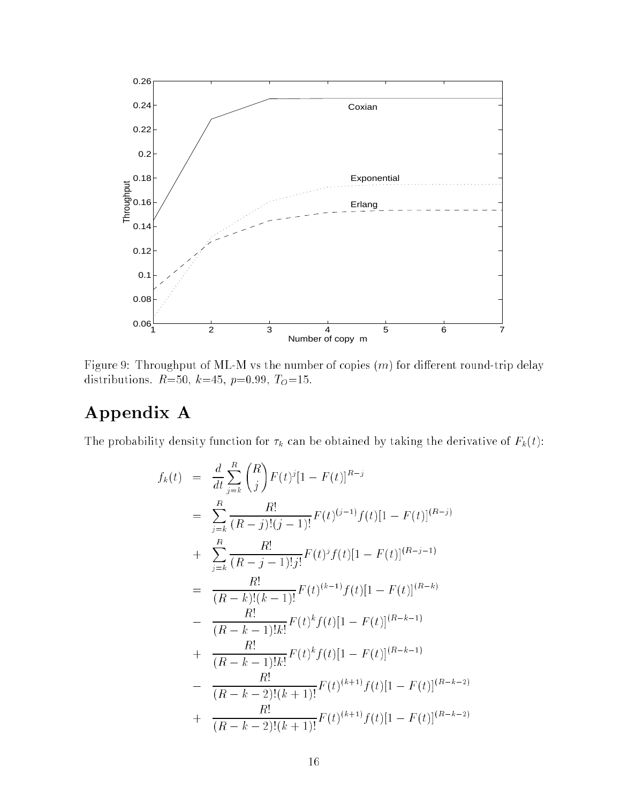

Figure 9: Throughput of ML-M vs the number of copies  $(m)$  for different round-trip delay distributions.  $R=50, k=45, p=0.99, T_0=15$ .

# Appendix A

The probability density function for  $\tau_k$  can be obtained by taking the derivative of  $F_k(t)$ :

$$
f_k(t) = \frac{d}{dt} \sum_{j=k}^{R} {R \choose j} F(t)^j [1 - F(t)]^{R-j}
$$
  
\n
$$
= \sum_{j=k}^{R} \frac{R!}{(R-j)!(j-1)!} F(t)^{(j-1)} f(t) [1 - F(t)]^{(R-j)}
$$
  
\n
$$
+ \sum_{j=k}^{R} \frac{R!}{(R-j-1)!j!} F(t)^j f(t) [1 - F(t)]^{(R-j-1)}
$$
  
\n
$$
= \frac{R!}{(R-k)!(k-1)!} F(t)^{(k-1)} f(t) [1 - F(t)]^{(R-k)}
$$
  
\n
$$
- \frac{R!}{(R-k-1)!k!} F(t)^k f(t) [1 - F(t)]^{(R-k-1)}
$$
  
\n
$$
+ \frac{R!}{(R-k-1)!k!} F(t)^k f(t) [1 - F(t)]^{(R-k-1)}
$$
  
\n
$$
- \frac{R!}{(R-k-2)!(k+1)!} F(t)^{(k+1)} f(t) [1 - F(t)]^{(R-k-2)}
$$
  
\n
$$
+ \frac{R!}{(R-k-2)!(k+1)!} F(t)^{(k+1)} f(t) [1 - F(t)]^{(R-k-2)}
$$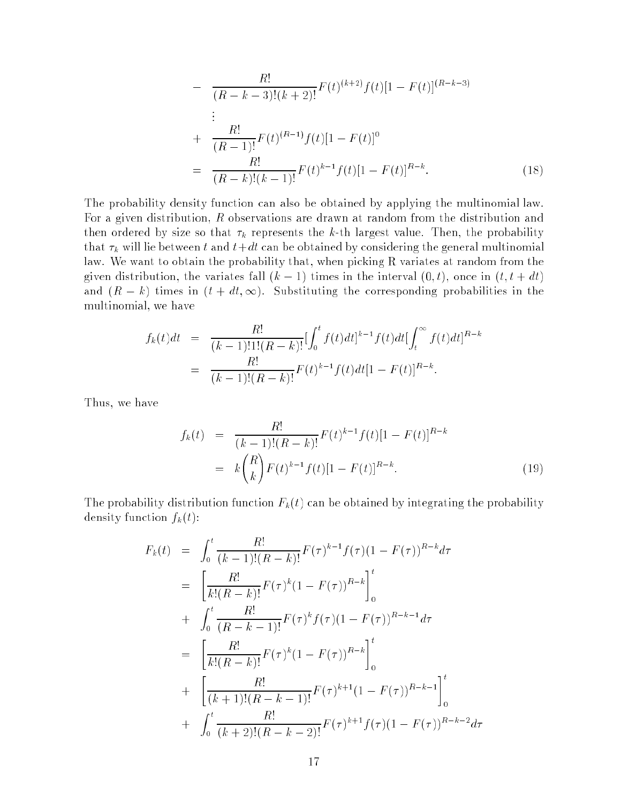$$
-\frac{R!}{(R-k-3)!(k+2)!}F(t)^{(k+2)}f(t)[1-F(t)]^{(R-k-3)}
$$
  
\n
$$
+\frac{R!}{(R-1)!}F(t)^{(R-1)}f(t)[1-F(t)]^{0}
$$
  
\n
$$
=\frac{R!}{(R-k)!(k-1)!}F(t)^{k-1}f(t)[1-F(t)]^{R-k}.
$$
 (18)

The probability density function can also be obtained by applying the multinomial law. For a given distribution, <sup>R</sup> observations are drawn at random from the distribution and then ordered by size so that  $\tau_k$  represents the k-th largest value. Then, the probability that  $\tau_k$  will lie between t and  $t+dt$  can be obtained by considering the general multinomial law. We want to obtain the probability that, when picking R variates at random from the given distribution, the variates fall  $(k - 1)$  times in the interval  $(0, t)$ , once in  $(t, t + dt)$ and  $(R - k)$  times in  $(t + dt, \infty)$ . Substituting the corresponding probabilities in the multinomial, we have

$$
f_k(t)dt = \frac{R!}{(k-1)!!(R-k)!} \left[ \int_0^t f(t)dt \right]^{k-1} f(t)dt \left[ \int_t^{\infty} f(t)dt \right]^{R-k}
$$
  
= 
$$
\frac{R!}{(k-1)!(R-k)!} F(t)^{k-1} f(t)dt [1 - F(t)]^{R-k}.
$$

Thus, we have

$$
f_k(t) = \frac{R!}{(k-1)!(R-k)!} F(t)^{k-1} f(t) [1 - F(t)]^{R-k}
$$
  

$$
= k {R \choose k} F(t)^{k-1} f(t) [1 - F(t)]^{R-k}.
$$
 (19)

The probability distribution function  $F_k(t)$  can be obtained by integrating the probability density function  $f_k(t)$ :

$$
F_k(t) = \int_0^t \frac{R!}{(k-1)!(R-k)!} F(\tau)^{k-1} f(\tau) (1 - F(\tau))^{R-k} d\tau
$$
  
\n
$$
= \left[ \frac{R!}{k!(R-k)!} F(\tau)^k (1 - F(\tau))^{R-k} \right]_0^t
$$
  
\n
$$
+ \int_0^t \frac{R!}{(R-k-1)!} F(\tau)^k f(\tau) (1 - F(\tau))^{R-k-1} d\tau
$$
  
\n
$$
= \left[ \frac{R!}{k!(R-k)!} F(\tau)^k (1 - F(\tau))^{R-k} \right]_0^t
$$
  
\n
$$
+ \left[ \frac{R!}{(k+1)!(R-k-1)!} F(\tau)^{k+1} (1 - F(\tau))^{R-k-1} \right]_0^t
$$
  
\n
$$
+ \int_0^t \frac{R!}{(k+2)!(R-k-2)!} F(\tau)^{k+1} f(\tau) (1 - F(\tau))^{R-k-2} d\tau
$$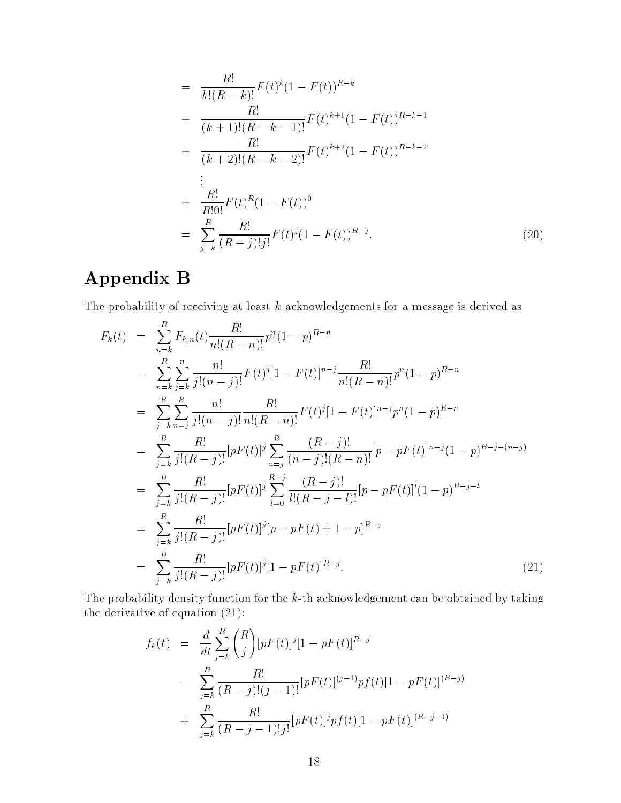$$
= \frac{R!}{k!(R-k)!}F(t)^{k}(1 - F(t))^{R-k}
$$
  
+ 
$$
\frac{R!}{(k+1)!(R-k-1)!}F(t)^{k+1}(1 - F(t))^{R-k-1}
$$
  
+ 
$$
\frac{R!}{(k+2)!(R-k-2)!}F(t)^{k+2}(1 - F(t))^{R-k-2}
$$
  
+ 
$$
\frac{R!}{R!0!}F(t)^{R}(1 - F(t))^{0}
$$
  
= 
$$
\sum_{j=k}^{R} \frac{R!}{(R-j)!j!}F(t)^{j}(1 - F(t))^{R-j}.
$$
 (20)

# Appendix B

The probability of receiving at least  $k$  acknowledgements for a message is derived as

$$
F_k(t) = \sum_{n=k}^{R} F_{k|n}(t) \frac{R!}{n!(R-n)!} p^n (1-p)^{R-n}
$$
  
\n
$$
= \sum_{n=k}^{R} \sum_{j=k}^{n} \frac{n!}{j!(n-j)!} F(t)^j [1 - F(t)]^{n-j} \frac{R!}{n!(R-n)!} p^n (1-p)^{R-n}
$$
  
\n
$$
= \sum_{j=k}^{R} \sum_{n=j}^{R} \frac{n!}{j!(n-j)!} \frac{R!}{n!(R-n)!} F(t)^j [1 - F(t)]^{n-j} p^n (1-p)^{R-n}
$$
  
\n
$$
= \sum_{j=k}^{R} \frac{R!}{j!(R-j)!} [pF(t)]^j \sum_{n=j}^{R} \frac{(R-j)!}{(n-j)!(R-n)!} [p - pF(t)]^{n-j} (1-p)^{R-j-(n-j)}
$$
  
\n
$$
= \sum_{j=k}^{R} \frac{R!}{j!(R-j)!} [pF(t)]^j \sum_{l=0}^{R-j} \frac{(R-j)!}{l!(R-j-l)!} [p - pF(t)]^l (1-p)^{R-j-l}
$$
  
\n
$$
= \sum_{j=k}^{R} \frac{R!}{j!(R-j)!} [pF(t)]^j [p - pF(t) + 1 - p]^{R-j}
$$
  
\n
$$
= \sum_{j=k}^{R} \frac{R!}{j!(R-j)!} [pF(t)]^j [1 - pF(t)]^{R-j}.
$$
  
\n(21)

The probability density function for the  $k$ -th acknowledgement can be obtained by taking the derivative of equation (21):

$$
f_k(t) = \frac{d}{dt} \sum_{j=k}^{R} {R \choose j} [pF(t)]^j [1 - pF(t)]^{R-j}
$$
  
\n
$$
= \sum_{j=k}^{R} \frac{R!}{(R-j)!(j-1)!} [pF(t)]^{(j-1)} p f(t) [1 - pF(t)]^{(R-j)}
$$
  
\n
$$
+ \sum_{j=k}^{R} \frac{R!}{(R-j-1)!j!} [pF(t)]^j p f(t) [1 - pF(t)]^{(R-j-1)}
$$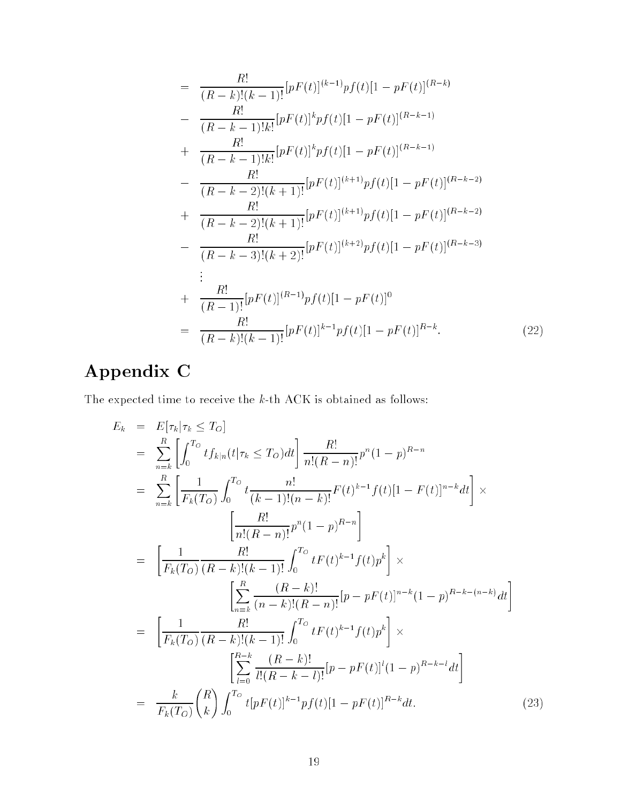$$
= \frac{R!}{(R-k)!(k-1)!}[pF(t)]^{(k-1)}pf(t)[1-pF(t)]^{(R-k)}-\frac{R!}{(R-k-1)!k!}[pF(t)]^{k}pf(t)[1-pF(t)]^{(R-k-1)}+\frac{R!}{(R-k-1)!k!}[pF(t)]^{k}pf(t)[1-pF(t)]^{(R-k-1)}-\frac{R!}{(R-k-2)!(k+1)!}[pF(t)]^{(k+1)}pf(t)[1-pF(t)]^{(R-k-2)}+\frac{R!}{(R-k-2)!(k+1)!}[pF(t)]^{(k+1)}pf(t)[1-pF(t)]^{(R-k-2)}-\frac{R!}{(R-k-3)!(k+2)!}[pF(t)]^{(k+2)}pf(t)[1-pF(t)]^{(R-k-3)}:\frac{R!}{(R-1)!}[pF(t)]^{(R-1)}pf(t)[1-pF(t)]^{0}=\frac{R!}{(R-k)!(k-1)!}[pF(t)]^{k-1}pf(t)[1-pF(t)]^{R-k}.
$$
(22)

# Appendix C

The expected time to receive the  $k$ -th ACK is obtained as follows:

$$
E_{k} = E[\tau_{k}|\tau_{k} \leq T_{O}]
$$
  
\n
$$
= \sum_{n=k}^{R} \left[ \int_{0}^{T_{O}} t f_{k|n}(t|\tau_{k} \leq T_{O}) dt \right] \frac{R!}{n!(R-n)!} p^{n} (1-p)^{R-n}
$$
  
\n
$$
= \sum_{n=k}^{R} \left[ \frac{1}{F_{k}(T_{O})} \int_{0}^{T_{O}} t \frac{n!}{(k-1)!(n-k)!} F(t)^{k-1} f(t) [1 - F(t)]^{n-k} dt \right] \times
$$
  
\n
$$
\left[ \frac{R!}{n!(R-n)!} p^{n} (1-p)^{R-n} \right]
$$
  
\n
$$
= \left[ \frac{1}{F_{k}(T_{O})} \frac{R!}{(R-k)!(k-1)!} \int_{0}^{T_{O}} t F(t)^{k-1} f(t) p^{k} \right] \times
$$
  
\n
$$
\left[ \sum_{n=k}^{R} \frac{(R-k)!}{(n-k)!(R-n)!} [p - pF(t)]^{n-k} (1-p)^{R-k-(n-k)} dt \right]
$$
  
\n
$$
= \left[ \frac{1}{F_{k}(T_{O})} \frac{R!}{(R-k)!(k-1)!} \int_{0}^{T_{O}} t F(t)^{k-1} f(t) p^{k} \right] \times
$$
  
\n
$$
\left[ \sum_{l=0}^{R-k} \frac{(R-k)!}{l!(R-k-l)!} [p - pF(t)]^{l} (1-p)^{R-k-l} dt \right]
$$
  
\n
$$
= \frac{k}{F_{k}(T_{O})} {n \choose k} \int_{0}^{T_{O}} t [pF(t)]^{k-1} p f(t) [1 - pF(t)]^{R-k} dt.
$$
 (23)